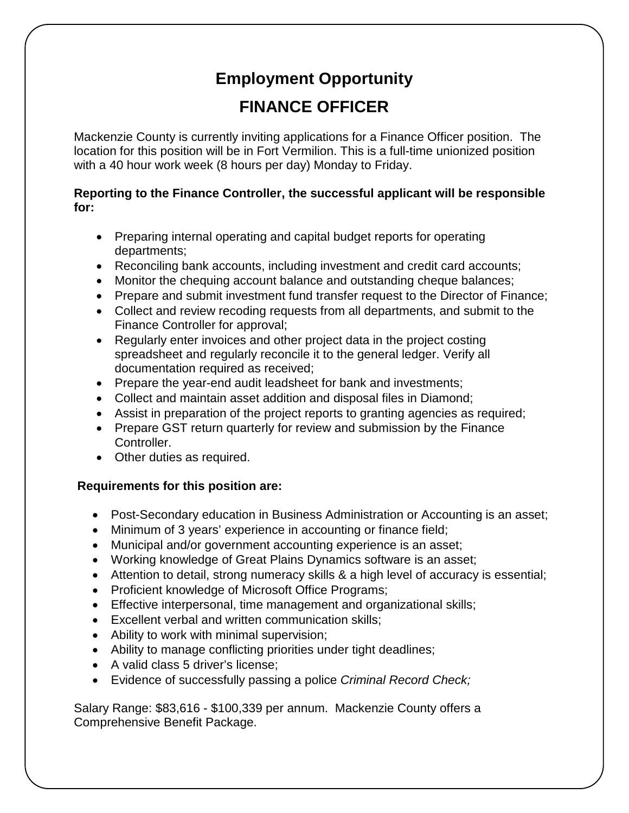## **Employment Opportunity FINANCE OFFICER**

Mackenzie County is currently inviting applications for a Finance Officer position. The location for this position will be in Fort Vermilion. This is a full-time unionized position with a 40 hour work week (8 hours per day) Monday to Friday.

## **Reporting to the Finance Controller, the successful applicant will be responsible for:**

- Preparing internal operating and capital budget reports for operating departments;
- Reconciling bank accounts, including investment and credit card accounts;
- Monitor the chequing account balance and outstanding cheque balances;
- Prepare and submit investment fund transfer request to the Director of Finance;
- Collect and review recoding requests from all departments, and submit to the Finance Controller for approval;
- Regularly enter invoices and other project data in the project costing spreadsheet and regularly reconcile it to the general ledger. Verify all documentation required as received;
- Prepare the year-end audit leadsheet for bank and investments;
- Collect and maintain asset addition and disposal files in Diamond;
- Assist in preparation of the project reports to granting agencies as required;
- Prepare GST return quarterly for review and submission by the Finance Controller.
- Other duties as required.

## **Requirements for this position are:**

- Post-Secondary education in Business Administration or Accounting is an asset;
- Minimum of 3 years' experience in accounting or finance field;
- Municipal and/or government accounting experience is an asset;
- Working knowledge of Great Plains Dynamics software is an asset;
- Attention to detail, strong numeracy skills & a high level of accuracy is essential;
- Proficient knowledge of Microsoft Office Programs;
- Effective interpersonal, time management and organizational skills;
- Excellent verbal and written communication skills;
- Ability to work with minimal supervision;
- Ability to manage conflicting priorities under tight deadlines;
- A valid class 5 driver's license;
- Evidence of successfully passing a police *Criminal Record Check;*

Salary Range: \$83,616 - \$100,339 per annum. Mackenzie County offers a Comprehensive Benefit Package.